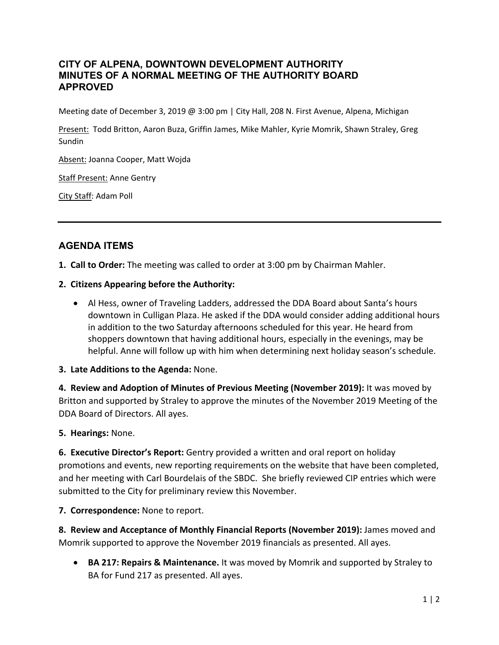## **CITY OF ALPENA, DOWNTOWN DEVELOPMENT AUTHORITY MINUTES OF A NORMAL MEETING OF THE AUTHORITY BOARD APPROVED**

Meeting date of December 3, 2019 @ 3:00 pm | City Hall, 208 N. First Avenue, Alpena, Michigan

Present: Todd Britton, Aaron Buza, Griffin James, Mike Mahler, Kyrie Momrik, Shawn Straley, Greg Sundin

Absent: Joanna Cooper, Matt Wojda

Staff Present: Anne Gentry

City Staff: Adam Poll

# **AGENDA ITEMS**

**1. Call to Order:** The meeting was called to order at 3:00 pm by Chairman Mahler.

### **2. Citizens Appearing before the Authority:**

 Al Hess, owner of Traveling Ladders, addressed the DDA Board about Santa's hours downtown in Culligan Plaza. He asked if the DDA would consider adding additional hours in addition to the two Saturday afternoons scheduled for this year. He heard from shoppers downtown that having additional hours, especially in the evenings, may be helpful. Anne will follow up with him when determining next holiday season's schedule.

## **3. Late Additions to the Agenda:** None.

**4. Review and Adoption of Minutes of Previous Meeting (November 2019):** It was moved by Britton and supported by Straley to approve the minutes of the November 2019 Meeting of the DDA Board of Directors. All ayes.

**5. Hearings:** None.

**6. Executive Director's Report:** Gentry provided a written and oral report on holiday promotions and events, new reporting requirements on the website that have been completed, and her meeting with Carl Bourdelais of the SBDC. She briefly reviewed CIP entries which were submitted to the City for preliminary review this November.

**7. Correspondence:** None to report.

**8. Review and Acceptance of Monthly Financial Reports (November 2019):** James moved and Momrik supported to approve the November 2019 financials as presented. All ayes.

 **BA 217: Repairs & Maintenance.** It was moved by Momrik and supported by Straley to BA for Fund 217 as presented. All ayes.